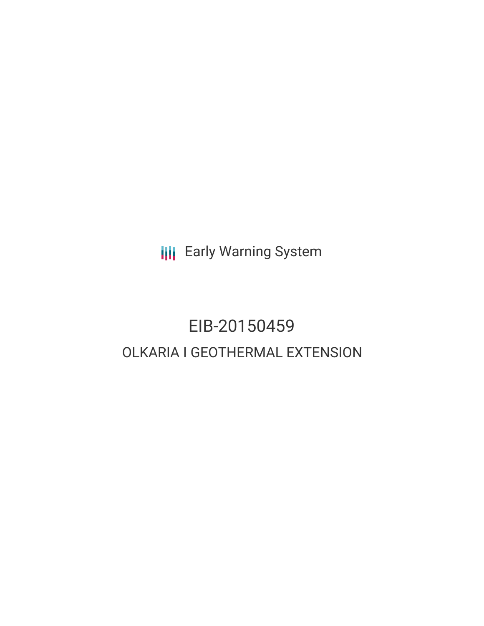**III** Early Warning System

# EIB-20150459 OLKARIA I GEOTHERMAL EXTENSION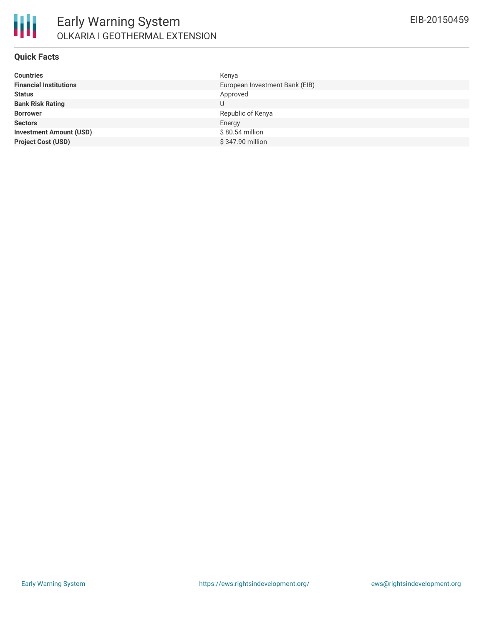

#### **Quick Facts**

| Kenya                          |
|--------------------------------|
| European Investment Bank (EIB) |
| Approved                       |
| U                              |
| Republic of Kenya              |
| Energy                         |
| $$80.54$ million               |
| \$347.90 million               |
|                                |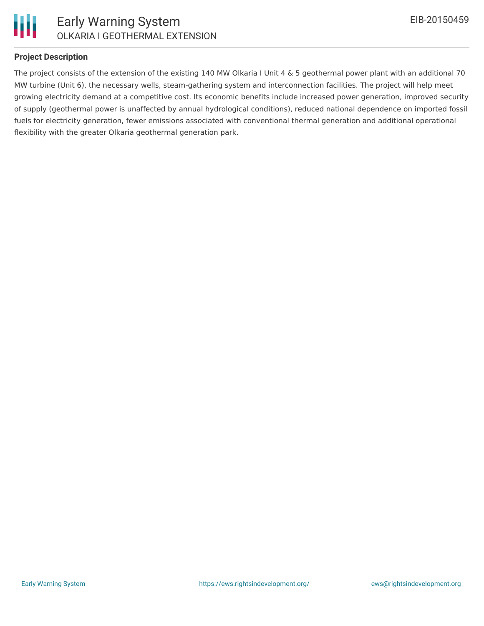

### **Project Description**

The project consists of the extension of the existing 140 MW Olkaria I Unit 4 & 5 geothermal power plant with an additional 70 MW turbine (Unit 6), the necessary wells, steam-gathering system and interconnection facilities. The project will help meet growing electricity demand at a competitive cost. Its economic benefits include increased power generation, improved security of supply (geothermal power is unaffected by annual hydrological conditions), reduced national dependence on imported fossil fuels for electricity generation, fewer emissions associated with conventional thermal generation and additional operational flexibility with the greater Olkaria geothermal generation park.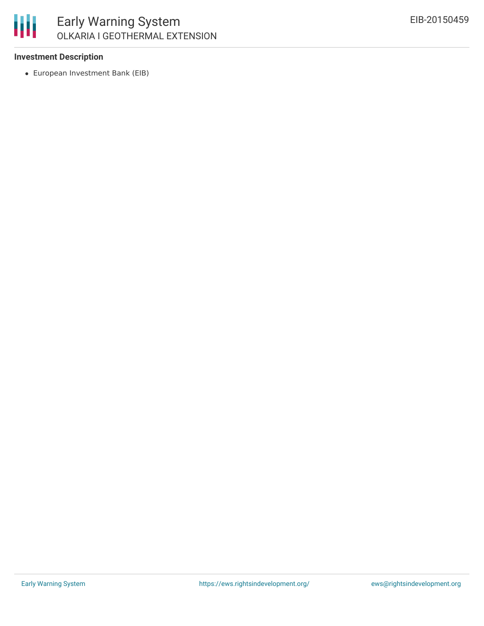

## Early Warning System OLKARIA I GEOTHERMAL EXTENSION

#### **Investment Description**

European Investment Bank (EIB)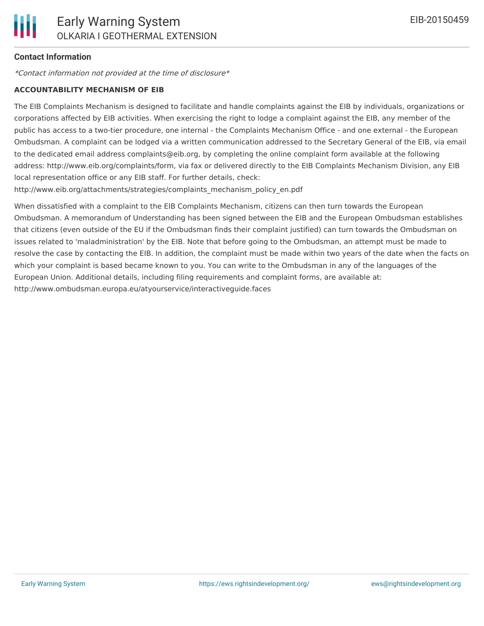#### **Contact Information**

\*Contact information not provided at the time of disclosure\*

#### **ACCOUNTABILITY MECHANISM OF EIB**

The EIB Complaints Mechanism is designed to facilitate and handle complaints against the EIB by individuals, organizations or corporations affected by EIB activities. When exercising the right to lodge a complaint against the EIB, any member of the public has access to a two-tier procedure, one internal - the Complaints Mechanism Office - and one external - the European Ombudsman. A complaint can be lodged via a written communication addressed to the Secretary General of the EIB, via email to the dedicated email address complaints@eib.org, by completing the online complaint form available at the following address: http://www.eib.org/complaints/form, via fax or delivered directly to the EIB Complaints Mechanism Division, any EIB local representation office or any EIB staff. For further details, check:

http://www.eib.org/attachments/strategies/complaints\_mechanism\_policy\_en.pdf

When dissatisfied with a complaint to the EIB Complaints Mechanism, citizens can then turn towards the European Ombudsman. A memorandum of Understanding has been signed between the EIB and the European Ombudsman establishes that citizens (even outside of the EU if the Ombudsman finds their complaint justified) can turn towards the Ombudsman on issues related to 'maladministration' by the EIB. Note that before going to the Ombudsman, an attempt must be made to resolve the case by contacting the EIB. In addition, the complaint must be made within two years of the date when the facts on which your complaint is based became known to you. You can write to the Ombudsman in any of the languages of the European Union. Additional details, including filing requirements and complaint forms, are available at: http://www.ombudsman.europa.eu/atyourservice/interactiveguide.faces